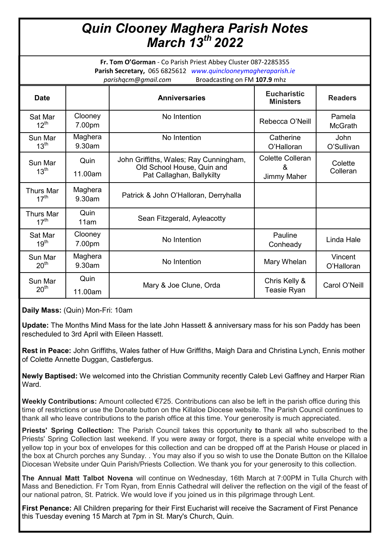# *Quin Clooney Maghera Parish Notes March 13th 2022*

**Fr. Tom O'Gorman** - Co Parish Priest Abbey Cluster 087-2285355 **Parish Secretary,** 065 6825612 *www.quinclooneymagheraparish.ie parishqcm@gmail.com* Broadcasting on FM **107.9** mhz

| <b>Date</b>                          |                      | <b>Anniversaries</b>                                                                              | <b>Eucharistic</b><br><b>Ministers</b>             | <b>Readers</b>           |
|--------------------------------------|----------------------|---------------------------------------------------------------------------------------------------|----------------------------------------------------|--------------------------|
| Sat Mar<br>$12^{th}$                 | Clooney<br>7.00pm    | No Intention                                                                                      | Rebecca O'Neill                                    | Pamela<br><b>McGrath</b> |
| Sun Mar<br>$13^{\text{th}}$          | Maghera<br>9.30am    | No Intention                                                                                      | Catherine<br>O'Halloran                            | John<br>O'Sullivan       |
| Sun Mar<br>13 <sup>th</sup>          | Quin<br>11.00am      | John Griffiths, Wales; Ray Cunningham,<br>Old School House, Quin and<br>Pat Callaghan, Ballykilty | <b>Colette Colleran</b><br>&<br><b>Jimmy Maher</b> | Colette<br>Colleran      |
| <b>Thurs Mar</b><br>$17^{\text{th}}$ | Maghera<br>$9.30$ am | Patrick & John O'Halloran, Derryhalla                                                             |                                                    |                          |
| Thurs Mar<br>17 <sup>th</sup>        | Quin<br>11am         | Sean Fitzgerald, Ayleacotty                                                                       |                                                    |                          |
| Sat Mar<br>19 <sup>th</sup>          | Clooney<br>7.00pm    | No Intention                                                                                      | Pauline<br>Conheady                                | Linda Hale               |
| Sun Mar<br>20 <sup>th</sup>          | Maghera<br>9.30am    | No Intention                                                                                      | Mary Whelan                                        | Vincent<br>O'Halloran    |
| Sun Mar<br>20 <sup>th</sup>          | Quin<br>11.00am      | Mary & Joe Clune, Orda                                                                            | Chris Kelly &<br>Teasie Ryan                       | Carol O'Neill            |

### **Daily Mass:** (Quin) Mon-Fri: 10am

**Update:** The Months Mind Mass for the late John Hassett & anniversary mass for his son Paddy has been rescheduled to 3rd April with Eileen Hassett.

**Rest in Peace:** John Griffiths, Wales father of Huw Griffiths, Maigh Dara and Christina Lynch, Ennis mother of Colette Annette Duggan, Castlefergus.

**Newly Baptised:** We welcomed into the Christian Community recently Caleb Levi Gaffney and Harper Rian Ward.

**Weekly Contributions:** Amount collected €725. Contributions can also be left in the parish office during this time of restrictions or use the Donate button on the Killaloe Diocese website. The Parish Council continues to thank all who leave contributions to the parish office at this time. Your generosity is much appreciated.

**Priests' Spring Collection:** The Parish Council takes this opportunity **to** thank all who subscribed to the Priests' Spring Collection last weekend. If you were away or forgot, there is a special white envelope with a yellow top in your box of envelopes for this collection and can be dropped off at the Parish House or placed in the box at Church porches any Sunday. . You may also if you so wish to use the Donate Button on the Killaloe Diocesan Website under Quin Parish/Priests Collection. We thank you for your generosity to this collection.

**The Annual Matt Talbot Novena** will continue on Wednesday, 16th March at 7:00PM in Tulla Church with Mass and Benediction. Fr Tom Ryan, from Ennis Cathedral will deliver the reflection on the vigil of the feast of our national patron, St. Patrick. We would love if you joined us in this pilgrimage through Lent.

**First Penance:** All Children preparing for their First Eucharist will receive the Sacrament of First Penance this Tuesday evening 15 March at 7pm in St. Mary's Church, Quin.